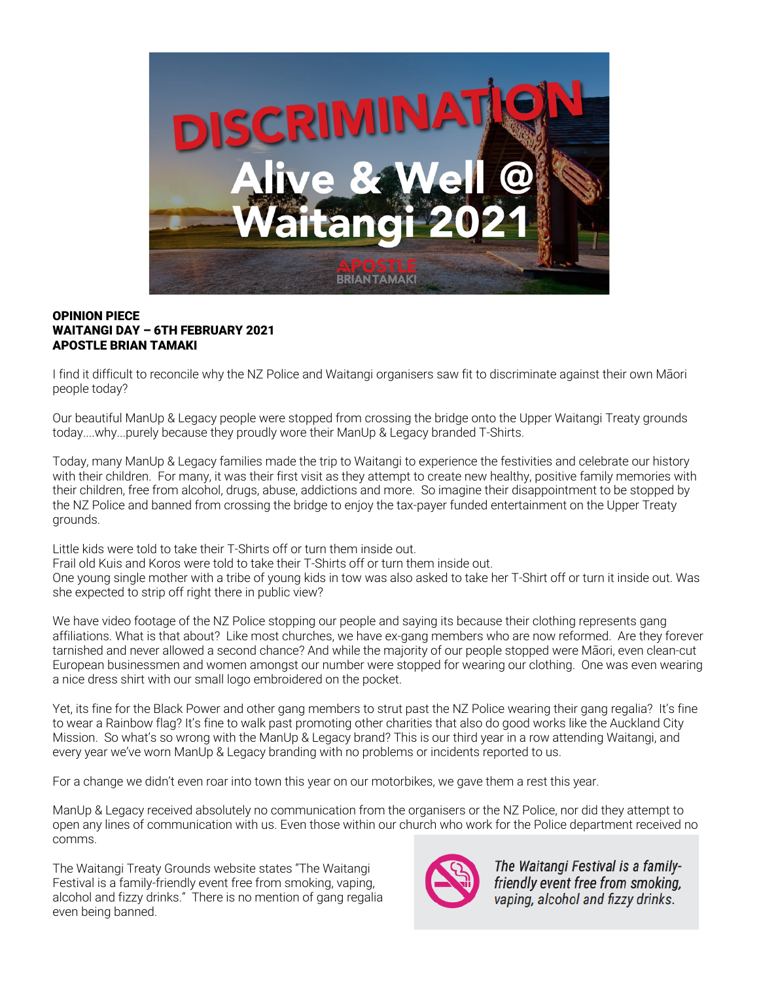

## OPINION PIECE WAITANGI DAY – 6TH FEBRUARY 2021 **APOSTI F BRIAN TAMAKI**

I find it difficult to reconcile why the NZ Police and Waitangi organisers saw fit to discriminate against their own Māori people today?

Our beautiful ManUp & Legacy people were stopped from crossing the bridge onto the Upper Waitangi Treaty grounds today....why...purely because they proudly wore their ManUp & Legacy branded T-Shirts.

Today, many ManUp & Legacy families made the trip to Waitangi to experience the festivities and celebrate our history with their children. For many, it was their first visit as they attempt to create new healthy, positive family memories with their children, free from alcohol, drugs, abuse, addictions and more. So imagine their disappointment to be stopped by the NZ Police and banned from crossing the bridge to enjoy the tax-payer funded entertainment on the Upper Treaty grounds.

Little kids were told to take their T-Shirts off or turn them inside out.

Frail old Kuis and Koros were told to take their T-Shirts off or turn them inside out.

One young single mother with a tribe of young kids in tow was also asked to take her T-Shirt off or turn it inside out. Was she expected to strip off right there in public view?

We have video footage of the NZ Police stopping our people and saying its because their clothing represents gang affiliations. What is that about? Like most churches, we have ex-gang members who are now reformed. Are they forever tarnished and never allowed a second chance? And while the majority of our people stopped were Māori, even clean-cut European businessmen and women amongst our number were stopped for wearing our clothing. One was even wearing a nice dress shirt with our small logo embroidered on the pocket.

Yet, its fine for the Black Power and other gang members to strut past the NZ Police wearing their gang regalia? It's fine to wear a Rainbow flag? It's fine to walk past promoting other charities that also do good works like the Auckland City Mission. So what's so wrong with the ManUp & Legacy brand? This is our third year in a row attending Waitangi, and every year we've worn ManUp & Legacy branding with no problems or incidents reported to us.

For a change we didn't even roar into town this year on our motorbikes, we gave them a rest this year.

ManUp & Legacy received absolutely no communication from the organisers or the NZ Police, nor did they attempt to open any lines of communication with us. Even those within our church who work for the Police department received no comms.

The Waitangi Treaty Grounds website states "The Waitangi Festival is a family-friendly event free from smoking, vaping, alcohol and fizzy drinks." There is no mention of gang regalia even being banned.



The Waitangi Festival is a familyfriendly event free from smoking, vaping, alcohol and fizzy drinks.